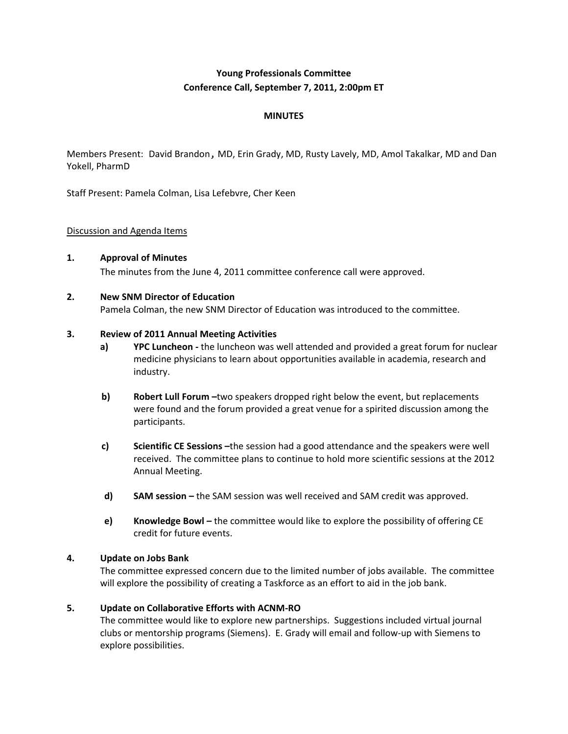# **Young Professionals Committee Conference Call, September 7, 2011, 2:00pm ET**

# **MINUTES**

Members Present: David Brandon, MD, Erin Grady, MD, Rusty Lavely, MD, Amol Takalkar, MD and Dan Yokell, PharmD

Staff Present: Pamela Colman, Lisa Lefebvre, Cher Keen

## Discussion and Agenda Items

**1. Approval of Minutes** The minutes from the June 4, 2011 committee conference call were approved.

#### **2. New SNM Director of Education**

Pamela Colman, the new SNM Director of Education was introduced to the committee.

#### **3. Review of 2011 Annual Meeting Activities**

- **a) YPC Luncheon -** the luncheon was well attended and provided a great forum for nuclear medicine physicians to learn about opportunities available in academia, research and industry.
- **b) Robert Lull Forum –**two speakers dropped right below the event, but replacements were found and the forum provided a great venue for a spirited discussion among the participants.
- **c) Scientific CE Sessions –**the session had a good attendance and the speakers were well received. The committee plans to continue to hold more scientific sessions at the 2012 Annual Meeting.
- **d) SAM session –** the SAM session was well received and SAM credit was approved.
- **e) <b>Knowledge Bowl** the committee would like to explore the possibility of offering CE credit for future events.

## **4. Update on Jobs Bank**

The committee expressed concern due to the limited number of jobs available. The committee will explore the possibility of creating a Taskforce as an effort to aid in the job bank.

## **5. Update on Collaborative Efforts with ACNM-RO**

The committee would like to explore new partnerships. Suggestions included virtual journal clubs or mentorship programs (Siemens). E. Grady will email and follow-up with Siemens to explore possibilities.